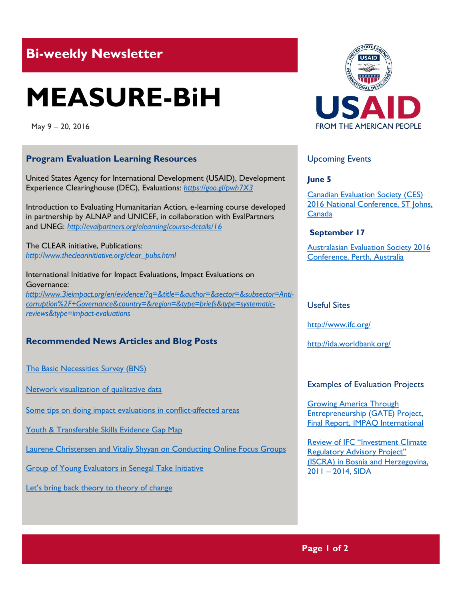## **Bi-weekly Newsletter**

# **MEASURE-BiH**

May 9 – 20, 2016

### **Program Evaluation Learning Resources**

United States Agency for International Development (USAID), Development Experience Clearinghouse (DEC), Evaluations: *<https://goo.gl/pwh7X3>*

Introduction to Evaluating Humanitarian Action, e-learning course developed in partnership by ALNAP and UNICEF, in collaboration with EvalPartners and UNEG: *<http://evalpartners.org/elearning/course-details/16>*

The CLEAR initiative, Publications: *[http://www.theclearinitiative.org/clear\\_pubs.html](http://www.theclearinitiative.org/clear_pubs.html)*

International Initiative for Impact Evaluations, Impact Evaluations on Governance: [http://www.3ieimpact.org/en/evidence/?q=&title=&author=&sector=&subsector=Anti](http://www.3ieimpact.org/en/evidence/?q=&title=&author=§or=&subsector=Anti-corruption%2F+Governance&country=®ion=&type=briefs&type=systematic-reviews&type=impact-evaluations)*[corruption%2F+Governance&country=&region=&type=briefs&type=systematic](http://www.3ieimpact.org/en/evidence/?q=&title=&author=§or=&subsector=Anti-corruption%2F+Governance&country=®ion=&type=briefs&type=systematic-reviews&type=impact-evaluations)[reviews&type=impact-evaluations](http://www.3ieimpact.org/en/evidence/?q=&title=&author=§or=&subsector=Anti-corruption%2F+Governance&country=®ion=&type=briefs&type=systematic-reviews&type=impact-evaluations)*

#### **Recommended News Articles and Blog Posts**

[The Basic Necessities Survey \(BNS\)](http://mande.co.uk/special-issues/the-basic-necessities-survey/) 

[Network visualization of qualitative data](http://mande.co.uk/special-issues/participatory-aggregation-of-qualitative-information-paqi/) 

[Some tips on doing impact evaluations in conflict-affected areas](http://blogs.worldbank.org/impactevaluations/some-tips-doing-impact-evaluations-conflict-affected-areas)

[Youth & Transferable Skills Evidence Gap Map](http://gapmaps.3ieimpact.org/evidence-maps/youth-transferable-skills-evidence-gap-map) 

[Laurene Christensen and Vitaliy Shyyan on Conducting Online Focus Groups](http://aea365.org/blog/laurene-christensen-and-vitaliy-shyyan-on-conducting-online-focus-groups/?utm_source=feedburner&utm_medium=feed&utm_campaign=Feed%3A+aea365+%28AEA365%29) 

[Group of Young Evaluators in Senegal Take Initiative](http://www.theclearinitiative.org/resources-art3.html)

[Let's bring back theory to theory of change](http://blogs.3ieimpact.org/lets-bring-back-theory-to-theory-of-change/)



#### Upcoming Events

#### **June 5**

[Canadian Evaluation Society \(CES\)](http://mande.co.uk/conferences/?event_id1=25)  [2016 National Conference, ST Johns,](http://mande.co.uk/conferences/?event_id1=25)  [Canada](http://mande.co.uk/conferences/?event_id1=25)

#### **September 17**

**Australasian Evaluation Society 2016** [Conference, Perth, Australia](http://mande.co.uk/conferences/?event_id1=24)

Useful Sites

<http://www.ifc.org/>

<http://ida.worldbank.org/>

#### Examples of Evaluation Projects

[Growing America Through](http://www.impaqint.com/work/project-reports/growing-america-through-entrepreneurship-final-evaluation-project-gate)  [Entrepreneurship \(GATE\) Project,](http://www.impaqint.com/work/project-reports/growing-america-through-entrepreneurship-final-evaluation-project-gate)  [Final Report, IMPAQ International](http://www.impaqint.com/work/project-reports/growing-america-through-entrepreneurship-final-evaluation-project-gate) 

[Review of IFC "Investment Climate](http://www.sida.se/contentassets/2d5fc26dd56b4477a6c08a96c8723037/review-of-ifc-8216investment-climate-regulatory-advisory-project8217-iscra-in-bosnia-and-herzegovina-2011-2014---final_3871.pdf)  [Regulatory Advisory Project"](http://www.sida.se/contentassets/2d5fc26dd56b4477a6c08a96c8723037/review-of-ifc-8216investment-climate-regulatory-advisory-project8217-iscra-in-bosnia-and-herzegovina-2011-2014---final_3871.pdf)  [\(ISCRA\) in Bosnia and Herzegovina,](http://www.sida.se/contentassets/2d5fc26dd56b4477a6c08a96c8723037/review-of-ifc-8216investment-climate-regulatory-advisory-project8217-iscra-in-bosnia-and-herzegovina-2011-2014---final_3871.pdf)  2011 – [2014, SIDA](http://www.sida.se/contentassets/2d5fc26dd56b4477a6c08a96c8723037/review-of-ifc-8216investment-climate-regulatory-advisory-project8217-iscra-in-bosnia-and-herzegovina-2011-2014---final_3871.pdf)